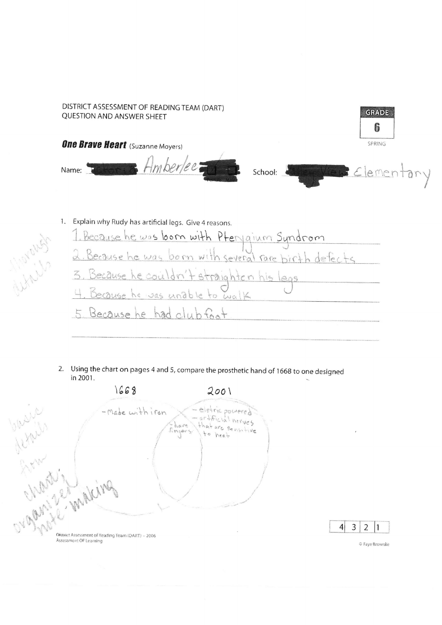

 $\vert$ 

 $3|2$ 

 $|1$ 

© Faye Brownlie

2. Using the chart on pages 4 and 5, compare the prosthetic hand of 1668 to one designed in 2001.